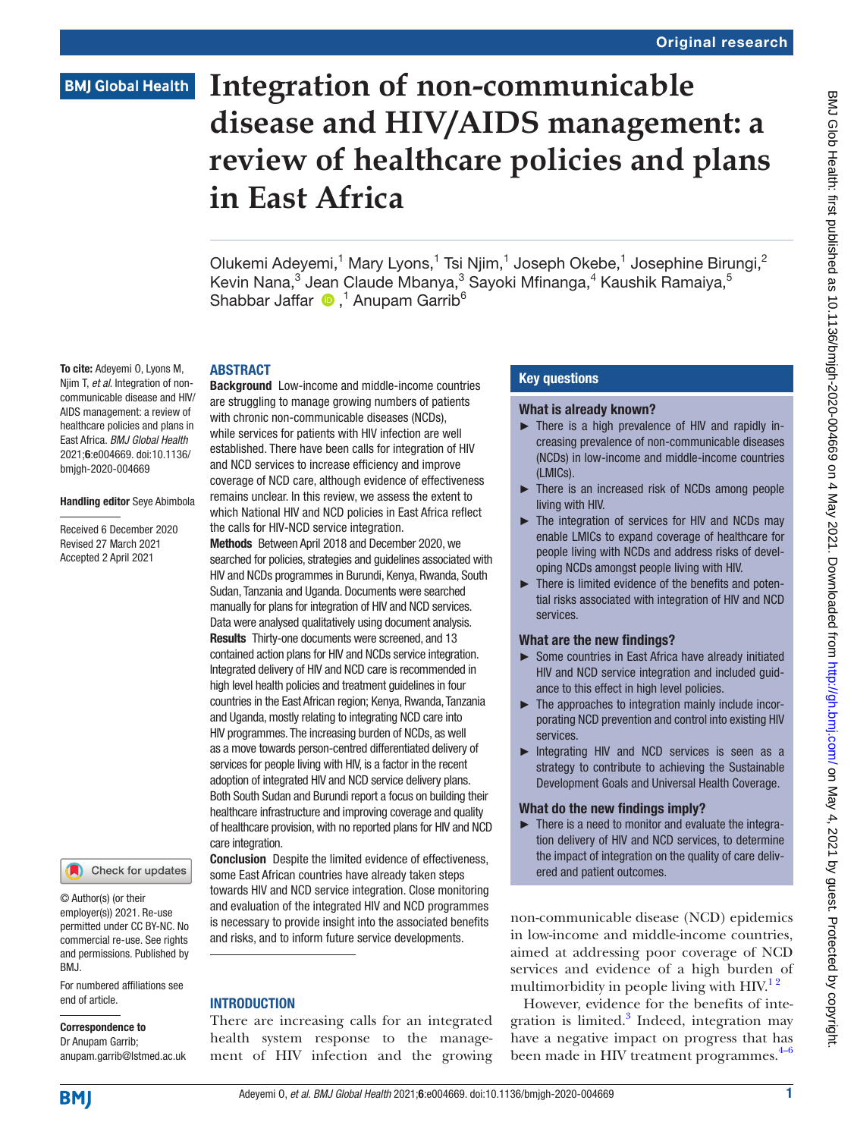# **BMJ Global Health**

# **Integration of non-communicable disease and HIV/AIDS management: a review of healthcare policies and plans in East Africa**

Olukemi Adeyemi,<sup>1</sup> Mary Lyons,<sup>1</sup> Tsi Njim,<sup>1</sup> Joseph Okebe,<sup>1</sup> Josephine Birungi,<sup>2</sup> Kevin Nana,<sup>3</sup> Jean Claude Mbanya,<sup>3</sup> Sayoki Mfinanga,<sup>4</sup> Kaushik Ramaiya,<sup>5</sup> Shabbar Jaffar  $\bigcirc$ ,<sup>1</sup> Anupam Garrib<sup>6</sup>

### ABSTRACT

To cite: Adeyemi O, Lyons M, Njim T, *et al*. Integration of noncommunicable disease and HIV/ AIDS management: a review of healthcare policies and plans in East Africa. *BMJ Global Health* 2021;6:e004669. doi:10.1136/ bmjgh-2020-004669

### Handling editor Seye Abimbola

Received 6 December 2020 Revised 27 March 2021 Accepted 2 April 2021



© Author(s) (or their employer(s)) 2021. Re-use permitted under CC BY-NC. No commercial re-use. See rights and permissions. Published by BMJ.

For numbered affiliations see end of article.

### Correspondence to

Dr Anupam Garrib; anupam.garrib@lstmed.ac.uk **Background** Low-income and middle-income countries are struggling to manage growing numbers of patients with chronic non-communicable diseases (NCDs), while services for patients with HIV infection are well established. There have been calls for integration of HIV and NCD services to increase efficiency and improve coverage of NCD care, although evidence of effectiveness remains unclear. In this review, we assess the extent to which National HIV and NCD policies in East Africa reflect the calls for HIV-NCD service integration.

Methods Between April 2018 and December 2020, we searched for policies, strategies and guidelines associated with HIV and NCDs programmes in Burundi, Kenya, Rwanda, South Sudan, Tanzania and Uganda. Documents were searched manually for plans for integration of HIV and NCD services. Data were analysed qualitatively using document analysis. Results Thirty-one documents were screened, and 13 contained action plans for HIV and NCDs service integration. Integrated delivery of HIV and NCD care is recommended in high level health policies and treatment guidelines in four countries in the East African region; Kenya, Rwanda, Tanzania and Uganda, mostly relating to integrating NCD care into HIV programmes. The increasing burden of NCDs, as well as a move towards person-centred differentiated delivery of services for people living with HIV, is a factor in the recent adoption of integrated HIV and NCD service delivery plans. Both South Sudan and Burundi report a focus on building their healthcare infrastructure and improving coverage and quality of healthcare provision, with no reported plans for HIV and NCD care integration.

Conclusion Despite the limited evidence of effectiveness, some East African countries have already taken steps towards HIV and NCD service integration. Close monitoring and evaluation of the integrated HIV and NCD programmes is necessary to provide insight into the associated benefits and risks, and to inform future service developments.

### **INTRODUCTION**

There are increasing calls for an integrated health system response to the management of HIV infection and the growing

### Key questions

### What is already known?

- ► There is a high prevalence of HIV and rapidly increasing prevalence of non-communicable diseases (NCDs) in low-income and middle-income countries  $($ I MICs $)$ .
- ► There is an increased risk of NCDs among people living with HIV.
- ► The integration of services for HIV and NCDs may enable LMICs to expand coverage of healthcare for people living with NCDs and address risks of developing NCDs amongst people living with HIV.
- ► There is limited evidence of the benefits and potential risks associated with integration of HIV and NCD services.

### What are the new findings?

- ► Some countries in East Africa have already initiated HIV and NCD service integration and included guidance to this effect in high level policies.
- ► The approaches to integration mainly include incorporating NCD prevention and control into existing HIV services.
- ► Integrating HIV and NCD services is seen as a strategy to contribute to achieving the Sustainable Development Goals and Universal Health Coverage.

### What do the new findings imply?

► There is a need to monitor and evaluate the integration delivery of HIV and NCD services, to determine the impact of integration on the quality of care delivered and patient outcomes.

non-communicable disease (NCD) epidemics in low-income and middle-income countries, aimed at addressing poor coverage of NCD services and evidence of a high burden of multimorbidity in people living with  $H_1^{\prime}$ .

However, evidence for the benefits of inte-gration is limited.<sup>[3](#page-7-1)</sup> Indeed, integration may have a negative impact on progress that has been made in HIV treatment programmes. $4-6$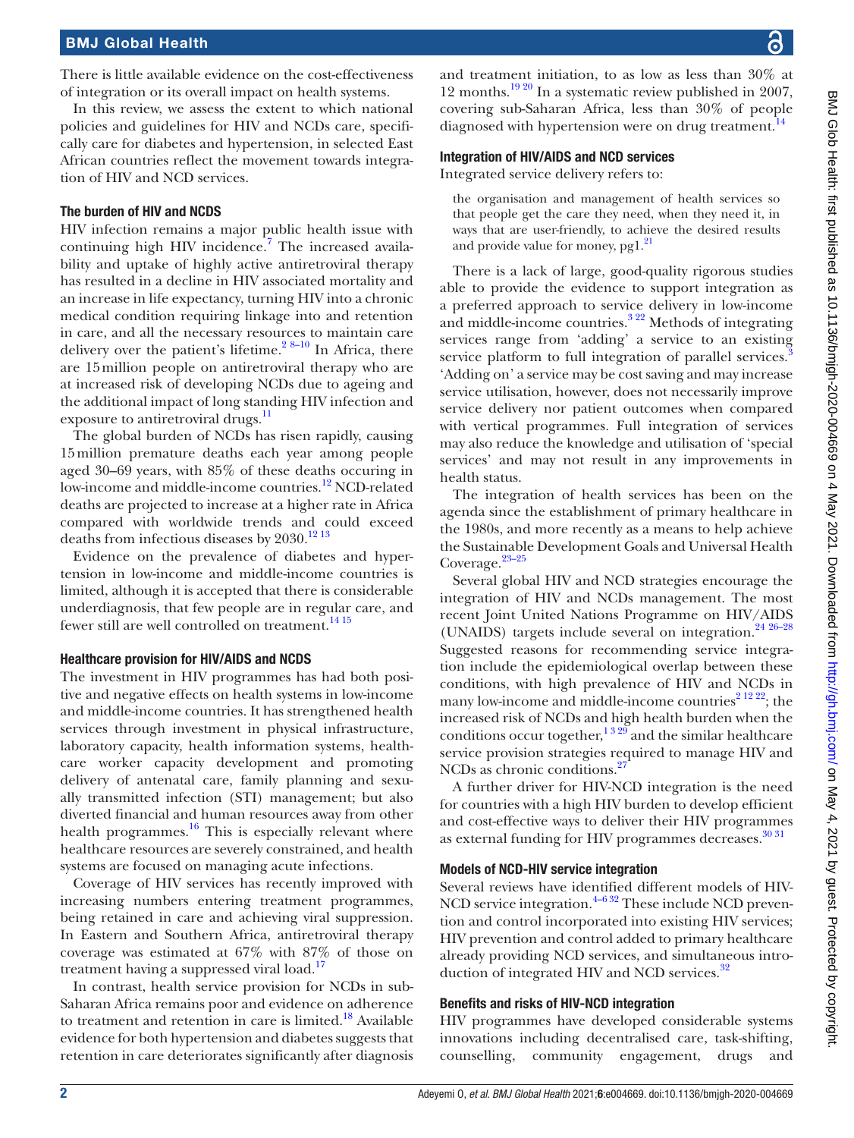There is little available evidence on the cost-effectiveness of integration or its overall impact on health systems.

In this review, we assess the extent to which national policies and guidelines for HIV and NCDs care, specifically care for diabetes and hypertension, in selected East African countries reflect the movement towards integration of HIV and NCD services.

### The burden of HIV and NCDS

HIV infection remains a major public health issue with continuing high HIV incidence.<sup>7</sup> The increased availability and uptake of highly active antiretroviral therapy has resulted in a decline in HIV associated mortality and an increase in life expectancy, turning HIV into a chronic medical condition requiring linkage into and retention in care, and all the necessary resources to maintain care delivery over the patient's lifetime.<sup>[2 8–10](#page-7-4)</sup> In Africa, there are 15million people on antiretroviral therapy who are at increased risk of developing NCDs due to ageing and the additional impact of long standing HIV infection and exposure to antiretroviral drugs.<sup>[11](#page-7-5)</sup>

The global burden of NCDs has risen rapidly, causing 15million premature deaths each year among people aged 30–69 years, with 85% of these deaths occuring in low-income and middle-income countries.<sup>12</sup> NCD-related deaths are projected to increase at a higher rate in Africa compared with worldwide trends and could exceed deaths from infectious diseases by  $2030.^{\rm 12\,13}$ 

Evidence on the prevalence of diabetes and hypertension in low-income and middle-income countries is limited, although it is accepted that there is considerable underdiagnosis, that few people are in regular care, and fewer still are well controlled on treatment.<sup>[14 15](#page-7-7)</sup>

### Healthcare provision for HIV/AIDS and NCDS

The investment in HIV programmes has had both positive and negative effects on health systems in low-income and middle-income countries. It has strengthened health services through investment in physical infrastructure, laboratory capacity, health information systems, healthcare worker capacity development and promoting delivery of antenatal care, family planning and sexually transmitted infection (STI) management; but also diverted financial and human resources away from other health programmes. $16$  This is especially relevant where healthcare resources are severely constrained, and health systems are focused on managing acute infections.

Coverage of HIV services has recently improved with increasing numbers entering treatment programmes, being retained in care and achieving viral suppression. In Eastern and Southern Africa, antiretroviral therapy coverage was estimated at 67% with 87% of those on treatment having a suppressed viral load.<sup>[17](#page-7-9)</sup>

In contrast, health service provision for NCDs in sub-Saharan Africa remains poor and evidence on adherence to treatment and retention in care is limited.<sup>18</sup> Available evidence for both hypertension and diabetes suggests that retention in care deteriorates significantly after diagnosis

and treatment initiation, to as low as less than 30% at 12 months.<sup>19 20</sup> In a systematic review published in 2007, covering sub-Saharan Africa, less than 30% of people diagnosed with hypertension were on drug treatment.<sup>14</sup>

### Integration of HIV/AIDS and NCD services

Integrated service delivery refers to:

the organisation and management of health services so that people get the care they need, when they need it, in ways that are user-friendly, to achieve the desired results and provide value for money,  $pg1.^{21}$ 

There is a lack of large, good-quality rigorous studies able to provide the evidence to support integration as a preferred approach to service delivery in low-income and middle-income countries.<sup>[3 22](#page-7-1)</sup> Methods of integrating services range from 'adding' a service to an existing service platform to full integration of parallel services.<sup>[3](#page-7-1)</sup> 'Adding on' a service may be cost saving and may increase service utilisation, however, does not necessarily improve service delivery nor patient outcomes when compared with vertical programmes. Full integration of services may also reduce the knowledge and utilisation of 'special services' and may not result in any improvements in health status.

The integration of health services has been on the agenda since the establishment of primary healthcare in the 1980s, and more recently as a means to help achieve the Sustainable Development Goals and Universal Health Coverage. $23-25$ 

Several global HIV and NCD strategies encourage the integration of HIV and NCDs management. The most recent Joint United Nations Programme on HIV/AIDS (UNAIDS) targets include several on integration.<sup>[24 26–28](#page-7-14)</sup> Suggested reasons for recommending service integration include the epidemiological overlap between these conditions, with high prevalence of HIV and NCDs in many low-income and middle-income countries<sup> $21222$ </sup>; the increased risk of NCDs and high health burden when the conditions occur together,<sup>1329</sup> and the similar healthcare service provision strategies required to manage HIV and NCDs as chronic conditions.<sup>[27](#page-7-15)</sup>

A further driver for HIV-NCD integration is the need for countries with a high HIV burden to develop efficient and cost-effective ways to deliver their HIV programmes as external funding for HIV programmes decreases.<sup>[30 31](#page-7-16)</sup>

### Models of NCD-HIV service integration

Several reviews have identified different models of HIV-NCD service integration. $4-632$  These include NCD prevention and control incorporated into existing HIV services; HIV prevention and control added to primary healthcare already providing NCD services, and simultaneous introduction of integrated HIV and NCD services.<sup>32</sup>

### Benefits and risks of HIV-NCD integration

HIV programmes have developed considerable systems innovations including decentralised care, task-shifting, counselling, community engagement, drugs and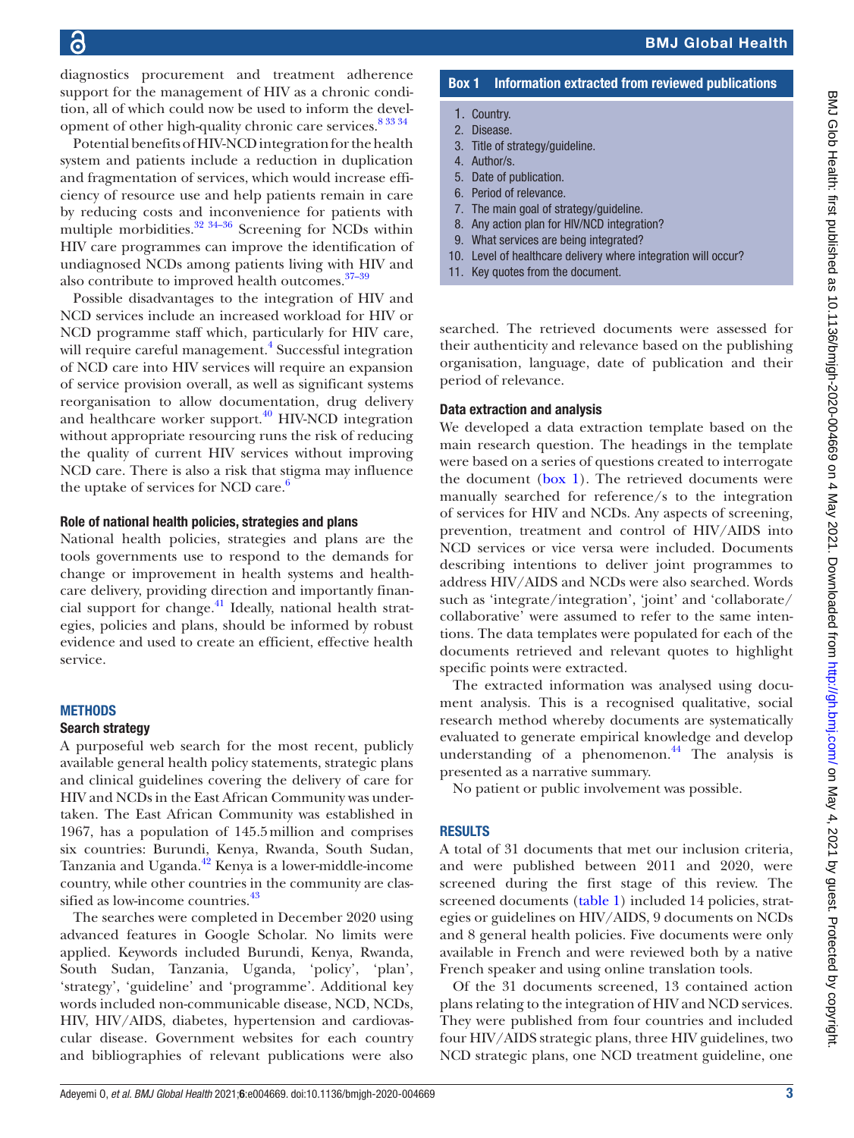diagnostics procurement and treatment adherence support for the management of HIV as a chronic condition, all of which could now be used to inform the devel-opment of other high-quality chronic care services.<sup>[8 33 34](#page-7-17)</sup>

Potential benefits of HIV-NCD integration for the health system and patients include a reduction in duplication and fragmentation of services, which would increase efficiency of resource use and help patients remain in care by reducing costs and inconvenience for patients with multiple morbidities. $32 \frac{34-36}{5}$  Screening for NCDs within HIV care programmes can improve the identification of undiagnosed NCDs among patients living with HIV and also contribute to improved health outcomes. $37-39$ 

Possible disadvantages to the integration of HIV and NCD services include an increased workload for HIV or NCD programme staff which, particularly for HIV care, will require careful management.<sup>[4](#page-7-2)</sup> Successful integration of NCD care into HIV services will require an expansion of service provision overall, as well as significant systems reorganisation to allow documentation, drug delivery and healthcare worker support. $40$  HIV-NCD integration without appropriate resourcing runs the risk of reducing the quality of current HIV services without improving NCD care. There is also a risk that stigma may influence the uptake of services for NCD care.<sup>6</sup>

### Role of national health policies, strategies and plans

National health policies, strategies and plans are the tools governments use to respond to the demands for change or improvement in health systems and healthcare delivery, providing direction and importantly financial support for change. $41$  Ideally, national health strategies, policies and plans, should be informed by robust evidence and used to create an efficient, effective health service.

### **METHODS**

### Search strategy

A purposeful web search for the most recent, publicly available general health policy statements, strategic plans and clinical guidelines covering the delivery of care for HIV and NCDs in the East African Community was undertaken. The East African Community was established in 1967, has a population of 145.5million and comprises six countries: Burundi, Kenya, Rwanda, South Sudan, Tanzania and Uganda.<sup>[42](#page-8-4)</sup> Kenya is a lower-middle-income country, while other countries in the community are classified as low-income countries.<sup>43</sup>

The searches were completed in December 2020 using advanced features in Google Scholar. No limits were applied. Keywords included Burundi, Kenya, Rwanda, South Sudan, Tanzania, Uganda, 'policy', 'plan', 'strategy', 'guideline' and 'programme'. Additional key words included non-communicable disease, NCD, NCDs, HIV, HIV/AIDS, diabetes, hypertension and cardiovascular disease. Government websites for each country and bibliographies of relevant publications were also

### BMJ Global Health

### Box 1 Information extracted from reviewed publications

- <span id="page-2-0"></span>1. Country.
- 2. Disease.
- 3. Title of strategy/guideline.
- 4. Author/s.
- 5. Date of publication. 6. Period of relevance.
- 
- 7. The main goal of strategy/guideline.
- 8. Any action plan for HIV/NCD integration?
- 9. What services are being integrated?
- 10. Level of healthcare delivery where integration will occur?
- 11. Key quotes from the document.

searched. The retrieved documents were assessed for their authenticity and relevance based on the publishing organisation, language, date of publication and their period of relevance.

### Data extraction and analysis

We developed a data extraction template based on the main research question. The headings in the template were based on a series of questions created to interrogate the document [\(box](#page-2-0) 1). The retrieved documents were manually searched for reference/s to the integration of services for HIV and NCDs. Any aspects of screening, prevention, treatment and control of HIV/AIDS into NCD services or vice versa were included. Documents describing intentions to deliver joint programmes to address HIV/AIDS and NCDs were also searched. Words such as 'integrate/integration', 'joint' and 'collaborate/ collaborative' were assumed to refer to the same intentions. The data templates were populated for each of the documents retrieved and relevant quotes to highlight specific points were extracted.

The extracted information was analysed using document analysis. This is a recognised qualitative, social research method whereby documents are systematically evaluated to generate empirical knowledge and develop understanding of a phenomenon.<sup>[44](#page-8-6)</sup> The analysis is presented as a narrative summary.

No patient or public involvement was possible.

### **RESULTS**

A total of 31 documents that met our inclusion criteria, and were published between 2011 and 2020, were screened during the first stage of this review. The screened documents ([table](#page-3-0) 1) included 14 policies, strategies or guidelines on HIV/AIDS, 9 documents on NCDs and 8 general health policies. Five documents were only available in French and were reviewed both by a native French speaker and using online translation tools.

Of the 31 documents screened, 13 contained action plans relating to the integration of HIV and NCD services. They were published from four countries and included four HIV/AIDS strategic plans, three HIV guidelines, two NCD strategic plans, one NCD treatment guideline, one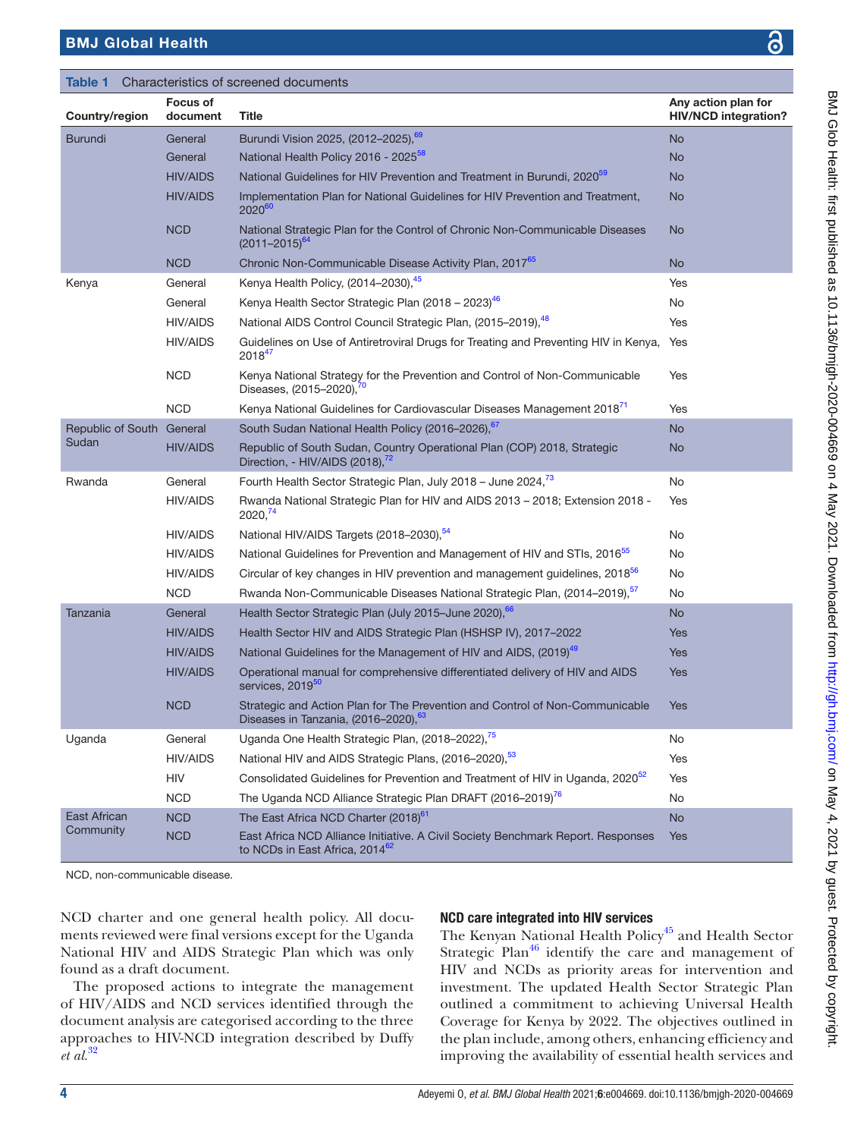<span id="page-3-0"></span>

| Table 1<br>Characteristics of screened documents |                             |                                                                                                                        |                                                    |
|--------------------------------------------------|-----------------------------|------------------------------------------------------------------------------------------------------------------------|----------------------------------------------------|
| Country/region                                   | <b>Focus of</b><br>document | <b>Title</b>                                                                                                           | Any action plan for<br><b>HIV/NCD integration?</b> |
| <b>Burundi</b>                                   | General                     | Burundi Vision 2025, (2012-2025), <sup>69</sup>                                                                        | <b>No</b>                                          |
|                                                  | General                     | National Health Policy 2016 - 2025 <sup>58</sup>                                                                       | <b>No</b>                                          |
|                                                  | <b>HIV/AIDS</b>             | National Guidelines for HIV Prevention and Treatment in Burundi, 2020 <sup>59</sup>                                    | <b>No</b>                                          |
|                                                  | <b>HIV/AIDS</b>             | Implementation Plan for National Guidelines for HIV Prevention and Treatment,<br>2020 <sup>60</sup>                    | <b>No</b>                                          |
|                                                  | <b>NCD</b>                  | National Strategic Plan for the Control of Chronic Non-Communicable Diseases<br>$(2011 - 2015)^{64}$                   | <b>No</b>                                          |
|                                                  | <b>NCD</b>                  | Chronic Non-Communicable Disease Activity Plan, 2017 <sup>65</sup>                                                     | <b>No</b>                                          |
| Kenya                                            | General                     | Kenya Health Policy, (2014-2030), 45                                                                                   | Yes                                                |
|                                                  | General                     | Kenya Health Sector Strategic Plan (2018 – 2023) <sup>46</sup>                                                         | No                                                 |
|                                                  | <b>HIV/AIDS</b>             | National AIDS Control Council Strategic Plan, (2015-2019), <sup>48</sup>                                               | Yes                                                |
|                                                  | <b>HIV/AIDS</b>             | Guidelines on Use of Antiretroviral Drugs for Treating and Preventing HIV in Kenya,<br>201847                          | Yes                                                |
|                                                  | <b>NCD</b>                  | Kenya National Strategy for the Prevention and Control of Non-Communicable<br>Diseases, (2015-2020), <sup>70</sup>     | Yes                                                |
|                                                  | <b>NCD</b>                  | Kenya National Guidelines for Cardiovascular Diseases Management 2018 <sup>(1</sup> )                                  | Yes                                                |
| Republic of South General<br>Sudan               |                             | South Sudan National Health Policy (2016-2026), 67                                                                     | <b>No</b>                                          |
|                                                  | <b>HIV/AIDS</b>             | Republic of South Sudan, Country Operational Plan (COP) 2018, Strategic<br>Direction, - HIV/AIDS (2018), <sup>72</sup> | No.                                                |
| Rwanda                                           | General                     | Fourth Health Sector Strategic Plan, July 2018 - June 2024,73                                                          | No                                                 |
|                                                  | <b>HIV/AIDS</b>             | Rwanda National Strategic Plan for HIV and AIDS 2013 - 2018; Extension 2018 -<br>2020. <sup>74</sup>                   | Yes                                                |
|                                                  | <b>HIV/AIDS</b>             | National HIV/AIDS Targets (2018-2030), <sup>54</sup>                                                                   | No                                                 |
|                                                  | <b>HIV/AIDS</b>             | National Guidelines for Prevention and Management of HIV and STIs, 2016 <sup>55</sup>                                  | No                                                 |
|                                                  | <b>HIV/AIDS</b>             | Circular of key changes in HIV prevention and management guidelines, 2018 <sup>56</sup>                                | No                                                 |
|                                                  | <b>NCD</b>                  | Rwanda Non-Communicable Diseases National Strategic Plan, (2014-2019), <sup>57</sup>                                   | No                                                 |
| Tanzania                                         | General                     | Health Sector Strategic Plan (July 2015-June 2020), 66                                                                 | <b>No</b>                                          |
|                                                  | <b>HIV/AIDS</b>             | Health Sector HIV and AIDS Strategic Plan (HSHSP IV), 2017-2022                                                        | Yes                                                |
|                                                  | <b>HIV/AIDS</b>             | National Guidelines for the Management of HIV and AIDS, (2019) <sup>49</sup>                                           | Yes                                                |
|                                                  | <b>HIV/AIDS</b>             | Operational manual for comprehensive differentiated delivery of HIV and AIDS<br>services, 2019 <sup>50</sup>           | Yes                                                |
|                                                  | <b>NCD</b>                  | Strategic and Action Plan for The Prevention and Control of Non-Communicable<br>Diseases in Tanzania, (2016-2020), 63  | Yes                                                |
| Uganda                                           | General                     | Uganda One Health Strategic Plan, (2018–2022), <sup>75</sup>                                                           | No                                                 |
|                                                  | <b>HIV/AIDS</b>             | National HIV and AIDS Strategic Plans, (2016-2020), 53                                                                 | Yes                                                |
|                                                  | HIV                         | Consolidated Guidelines for Prevention and Treatment of HIV in Uganda, 2020 <sup>52</sup>                              | Yes                                                |
|                                                  | <b>NCD</b>                  | The Uganda NCD Alliance Strategic Plan DRAFT (2016-2019) <sup>76</sup>                                                 | No                                                 |
| East African<br>Community                        | <b>NCD</b>                  | The East Africa NCD Charter (2018) <sup>61</sup>                                                                       | <b>No</b>                                          |
|                                                  | <b>NCD</b>                  | East Africa NCD Alliance Initiative. A Civil Society Benchmark Report. Responses                                       | Yes                                                |

NCD, non-communicable disease.

NCD charter and one general health policy. All documents reviewed were final versions except for the Uganda National HIV and AIDS Strategic Plan which was only found as a draft document.

to NCDs in East Africa, 2014<sup>6</sup>

The proposed actions to integrate the management of HIV/AIDS and NCD services identified through the document analysis are categorised according to the three approaches to HIV-NCD integration described by Duffy *et al.*[32](#page-8-0)

### NCD care integrated into HIV services

The Kenyan National Health Policy<sup>45</sup> and Health Sector Strategic Plan<sup>[46](#page-8-8)</sup> identify the care and management of HIV and NCDs as priority areas for intervention and investment. The updated Health Sector Strategic Plan outlined a commitment to achieving Universal Health Coverage for Kenya by 2022. The objectives outlined in the plan include, among others, enhancing efficiency and improving the availability of essential health services and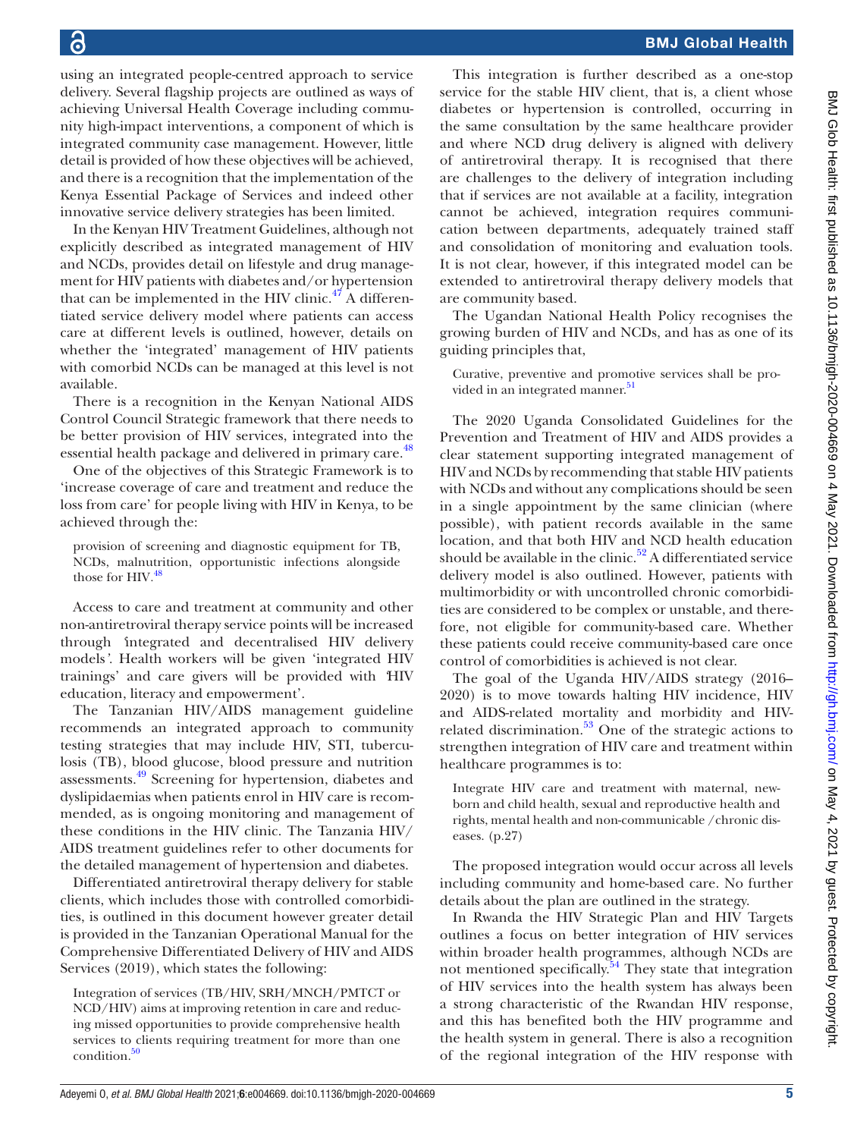using an integrated people-centred approach to service delivery. Several flagship projects are outlined as ways of achieving Universal Health Coverage including community high-impact interventions, a component of which is integrated community case management. However, little detail is provided of how these objectives will be achieved, and there is a recognition that the implementation of the Kenya Essential Package of Services and indeed other innovative service delivery strategies has been limited.

In the Kenyan HIV Treatment Guidelines, although not explicitly described as integrated management of HIV and NCDs, provides detail on lifestyle and drug management for HIV patients with diabetes and/or hypertension that can be implemented in the HIV clinic. $47$  A differentiated service delivery model where patients can access care at different levels is outlined, however, details on whether the 'integrated' management of HIV patients with comorbid NCDs can be managed at this level is not available.

There is a recognition in the Kenyan National AIDS Control Council Strategic framework that there needs to be better provision of HIV services, integrated into the essential health package and delivered in primary care.<sup>48</sup>

One of the objectives of this Strategic Framework is to 'increase coverage of care and treatment and reduce the loss from care' for people living with HIV in Kenya, to be achieved through the:

provision of screening and diagnostic equipment for TB, NCDs, malnutrition, opportunistic infections alongside those for HIV*.* [48](#page-8-15)

Access to care and treatment at community and other non-antiretroviral therapy service points will be increased through *'*integrated and decentralised HIV delivery models*'.* Health workers will be given 'integrated HIV trainings' and care givers will be provided with *'*HIV education, literacy and empowerment'.

The Tanzanian HIV/AIDS management guideline recommends an integrated approach to community testing strategies that may include HIV, STI, tuberculosis (TB), blood glucose, blood pressure and nutrition assessments[.49](#page-8-28) Screening for hypertension, diabetes and dyslipidaemias when patients enrol in HIV care is recommended, as is ongoing monitoring and management of these conditions in the HIV clinic. The Tanzania HIV/ AIDS treatment guidelines refer to other documents for the detailed management of hypertension and diabetes.

Differentiated antiretroviral therapy delivery for stable clients, which includes those with controlled comorbidities, is outlined in this document however greater detail is provided in the Tanzanian Operational Manual for the Comprehensive Differentiated Delivery of HIV and AIDS Services (2019), which states the following:

Integration of services (TB/HIV, SRH/MNCH/PMTCT or NCD/HIV) aims at improving retention in care and reducing missed opportunities to provide comprehensive health services to clients requiring treatment for more than one  $\frac{50}{2}$ 

This integration is further described as a one-stop service for the stable HIV client, that is, a client whose diabetes or hypertension is controlled, occurring in the same consultation by the same healthcare provider and where NCD drug delivery is aligned with delivery of antiretroviral therapy. It is recognised that there are challenges to the delivery of integration including that if services are not available at a facility, integration cannot be achieved, integration requires communication between departments, adequately trained staff and consolidation of monitoring and evaluation tools. It is not clear, however, if this integrated model can be extended to antiretroviral therapy delivery models that are community based.

The Ugandan National Health Policy recognises the growing burden of HIV and NCDs, and has as one of its guiding principles that,

Curative, preventive and promotive services shall be pro-vided in an integrated manner.<sup>[51](#page-8-37)</sup>

The 2020 Uganda Consolidated Guidelines for the Prevention and Treatment of HIV and AIDS provides a clear statement supporting integrated management of HIV and NCDs by recommending that stable HIV patients with NCDs and without any complications should be seen in a single appointment by the same clinician (where possible), with patient records available in the same location, and that both HIV and NCD health education should be available in the clinic.<sup>[52](#page-8-33)</sup> A differentiated service delivery model is also outlined. However, patients with multimorbidity or with uncontrolled chronic comorbidities are considered to be complex or unstable, and therefore, not eligible for community-based care. Whether these patients could receive community-based care once control of comorbidities is achieved is not clear.

The goal of the Uganda HIV/AIDS strategy (2016– 2020) is to move towards halting HIV incidence, HIV and AIDS-related mortality and morbidity and HIVrelated discrimination.<sup>53</sup> One of the strategic actions to strengthen integration of HIV care and treatment within healthcare programmes is to:

Integrate HIV care and treatment with maternal, newborn and child health, sexual and reproductive health and rights, mental health and non-communicable /chronic diseases. (p.27)

The proposed integration would occur across all levels including community and home-based care. No further details about the plan are outlined in the strategy.

In Rwanda the HIV Strategic Plan and HIV Targets outlines a focus on better integration of HIV services within broader health programmes, although NCDs are not mentioned specifically.<sup>54</sup> They state that integration of HIV services into the health system has always been a strong characteristic of the Rwandan HIV response, and this has benefited both the HIV programme and the health system in general. There is also a recognition of the regional integration of the HIV response with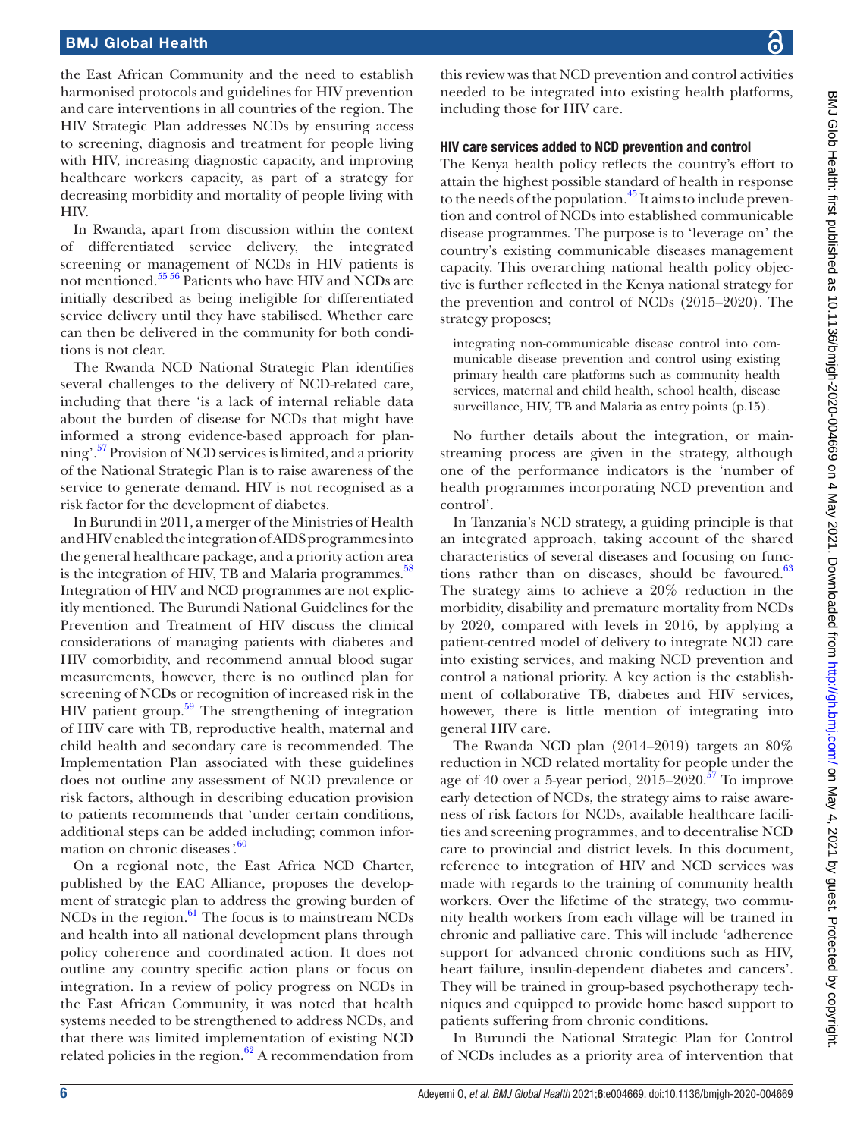# BMJ Glob Health: first published as 10.1136/bmjgh-2020-004669 on 4 May 2021. Downloaded from http://gh.bmj.com/ on May 4, 2021 by guest. Protected by copyright BMJ Glob Health: first published as 10.1136/bmjgh-2020-004669 on 4 May 2021. Downloaded from <http://gh.bmj.com/> on May 4, 2021 by guest. Protected by copyright.

### BMJ Global Health

the East African Community and the need to establish harmonised protocols and guidelines for HIV prevention and care interventions in all countries of the region. The HIV Strategic Plan addresses NCDs by ensuring access to screening, diagnosis and treatment for people living with HIV, increasing diagnostic capacity, and improving healthcare workers capacity, as part of a strategy for decreasing morbidity and mortality of people living with HIV.

In Rwanda, apart from discussion within the context of differentiated service delivery, the integrated screening or management of NCDs in HIV patients is not mentioned.[55 56](#page-8-24) Patients who have HIV and NCDs are initially described as being ineligible for differentiated service delivery until they have stabilised. Whether care can then be delivered in the community for both conditions is not clear.

The Rwanda NCD National Strategic Plan identifies several challenges to the delivery of NCD-related care, including that there 'is a lack of internal reliable data about the burden of disease for NCDs that might have informed a strong evidence-based approach for planning'.<sup>57</sup> Provision of NCD services is limited, and a priority of the National Strategic Plan is to raise awareness of the service to generate demand. HIV is not recognised as a risk factor for the development of diabetes.

In Burundi in 2011, a merger of the Ministries of Health and HIV enabled the integration of AIDS programmes into the general healthcare package, and a priority action area is the integration of HIV, TB and Malaria programmes. $58$ Integration of HIV and NCD programmes are not explicitly mentioned. The Burundi National Guidelines for the Prevention and Treatment of HIV discuss the clinical considerations of managing patients with diabetes and HIV comorbidity, and recommend annual blood sugar measurements, however, there is no outlined plan for screening of NCDs or recognition of increased risk in the HIV patient group.<sup>[59](#page-8-11)</sup> The strengthening of integration of HIV care with TB, reproductive health, maternal and child health and secondary care is recommended. The Implementation Plan associated with these guidelines does not outline any assessment of NCD prevalence or risk factors, although in describing education provision to patients recommends that 'under certain conditions, additional steps can be added including; common information on chronic diseases*'*. [60](#page-8-12)

On a regional note, the East Africa NCD Charter, published by the EAC Alliance, proposes the development of strategic plan to address the growing burden of  $NCDs$  in the region. $61$  The focus is to mainstream  $NCDs$ and health into all national development plans through policy coherence and coordinated action. It does not outline any country specific action plans or focus on integration. In a review of policy progress on NCDs in the East African Community, it was noted that health systems needed to be strengthened to address NCDs, and that there was limited implementation of existing NCD related policies in the region. $62$  A recommendation from

this review was that NCD prevention and control activities needed to be integrated into existing health platforms, including those for HIV care.

### HIV care services added to NCD prevention and control

The Kenya health policy reflects the country's effort to attain the highest possible standard of health in response to the needs of the population.<sup>[45](#page-8-7)</sup> It aims to include prevention and control of NCDs into established communicable disease programmes. The purpose is to 'leverage on' the country's existing communicable diseases management capacity. This overarching national health policy objective is further reflected in the Kenya national strategy for the prevention and control of NCDs (2015–2020). The strategy proposes;

integrating non-communicable disease control into communicable disease prevention and control using existing primary health care platforms such as community health services, maternal and child health, school health, disease surveillance, HIV, TB and Malaria as entry points (p.15).

No further details about the integration, or mainstreaming process are given in the strategy, although one of the performance indicators is the 'number of health programmes incorporating NCD prevention and control'.

In Tanzania's NCD strategy, a guiding principle is that an integrated approach, taking account of the shared characteristics of several diseases and focusing on functions rather than on diseases, should be favoured. $63$ The strategy aims to achieve a 20% reduction in the morbidity, disability and premature mortality from NCDs by 2020, compared with levels in 2016, by applying a patient-centred model of delivery to integrate NCD care into existing services, and making NCD prevention and control a national priority. A key action is the establishment of collaborative TB, diabetes and HIV services, however, there is little mention of integrating into general HIV care.

The Rwanda NCD plan (2014–2019) targets an 80% reduction in NCD related mortality for people under the age of 40 over a 5-year period,  $2015-2020$ .<sup>57</sup> To improve early detection of NCDs, the strategy aims to raise awareness of risk factors for NCDs, available healthcare facilities and screening programmes, and to decentralise NCD care to provincial and district levels. In this document, reference to integration of HIV and NCD services was made with regards to the training of community health workers. Over the lifetime of the strategy, two community health workers from each village will be trained in chronic and palliative care. This will include 'adherence support for advanced chronic conditions such as HIV, heart failure, insulin-dependent diabetes and cancers'. They will be trained in group-based psychotherapy techniques and equipped to provide home based support to patients suffering from chronic conditions.

In Burundi the National Strategic Plan for Control of NCDs includes as a priority area of intervention that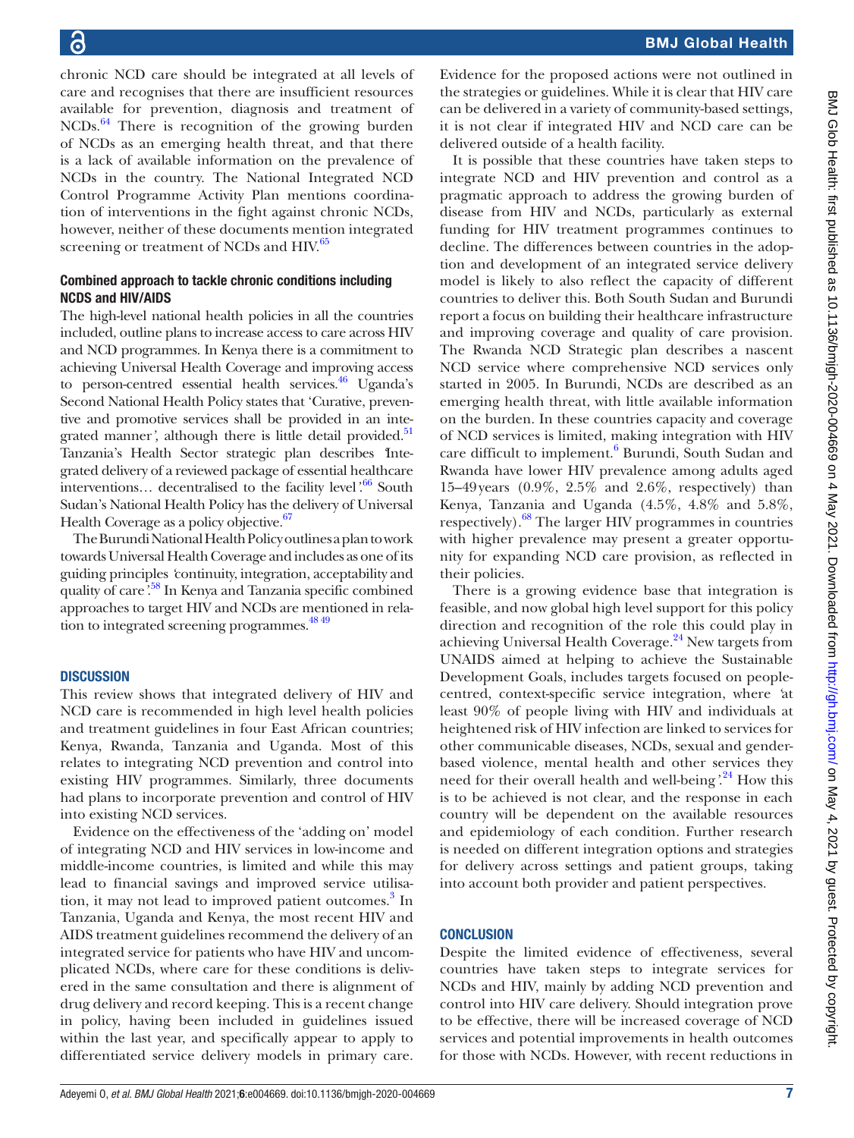chronic NCD care should be integrated at all levels of care and recognises that there are insufficient resources available for prevention, diagnosis and treatment of NCDs.<sup>64</sup> There is recognition of the growing burden of NCDs as an emerging health threat, and that there is a lack of available information on the prevalence of NCDs in the country. The National Integrated NCD Control Programme Activity Plan mentions coordination of interventions in the fight against chronic NCDs, however, neither of these documents mention integrated screening or treatment of NCDs and HIV.<sup>65</sup>

### Combined approach to tackle chronic conditions including NCDS and HIV/AIDS

The high-level national health policies in all the countries included, outline plans to increase access to care across HIV and NCD programmes. In Kenya there is a commitment to achieving Universal Health Coverage and improving access to person-centred essential health services.<sup>46</sup> Uganda's Second National Health Policy states that 'Curative, preventive and promotive services shall be provided in an inte-grated manner', although there is little detail provided.<sup>[51](#page-8-37)</sup> Tanzania's Health Sector strategic plan describes *'*Integrated delivery of a reviewed package of essential healthcare interventions… decentralised to the facility level*'*. [66](#page-8-27) South Sudan's National Health Policy has the delivery of Universal Health Coverage as a policy objective.<sup>67</sup>

The Burundi National Health Policy outlines a plan to work towards Universal Health Coverage and includes as one of its guiding principles *'*continuity, integration, acceptability and quality of care*'*. [58](#page-8-10) In Kenya and Tanzania specific combined approaches to target HIV and NCDs are mentioned in relation to integrated screening programmes.<sup>48 49</sup>

### **DISCUSSION**

This review shows that integrated delivery of HIV and NCD care is recommended in high level health policies and treatment guidelines in four East African countries; Kenya, Rwanda, Tanzania and Uganda. Most of this relates to integrating NCD prevention and control into existing HIV programmes. Similarly, three documents had plans to incorporate prevention and control of HIV into existing NCD services.

Evidence on the effectiveness of the 'adding on' model of integrating NCD and HIV services in low-income and middle-income countries, is limited and while this may lead to financial savings and improved service utilisa-tion, it may not lead to improved patient outcomes.<sup>[3](#page-7-1)</sup> In Tanzania, Uganda and Kenya, the most recent HIV and AIDS treatment guidelines recommend the delivery of an integrated service for patients who have HIV and uncomplicated NCDs, where care for these conditions is delivered in the same consultation and there is alignment of drug delivery and record keeping. This is a recent change in policy, having been included in guidelines issued within the last year, and specifically appear to apply to differentiated service delivery models in primary care.

Evidence for the proposed actions were not outlined in the strategies or guidelines. While it is clear that HIV care can be delivered in a variety of community-based settings, it is not clear if integrated HIV and NCD care can be delivered outside of a health facility.

It is possible that these countries have taken steps to integrate NCD and HIV prevention and control as a pragmatic approach to address the growing burden of disease from HIV and NCDs, particularly as external funding for HIV treatment programmes continues to decline. The differences between countries in the adoption and development of an integrated service delivery model is likely to also reflect the capacity of different countries to deliver this. Both South Sudan and Burundi report a focus on building their healthcare infrastructure and improving coverage and quality of care provision. The Rwanda NCD Strategic plan describes a nascent NCD service where comprehensive NCD services only started in 2005. In Burundi, NCDs are described as an emerging health threat, with little available information on the burden. In these countries capacity and coverage of NCD services is limited, making integration with HIV care difficult to implement.<sup>6</sup> Burundi, South Sudan and Rwanda have lower HIV prevalence among adults aged 15–49years (0.9%, 2.5% and 2.6%, respectively) than Kenya, Tanzania and Uganda (4.5%, 4.8% and 5.8%, respectively)[.68](#page-8-38) The larger HIV programmes in countries with higher prevalence may present a greater opportunity for expanding NCD care provision, as reflected in their policies.

There is a growing evidence base that integration is feasible, and now global high level support for this policy direction and recognition of the role this could play in achieving Universal Health Coverage.[24](#page-7-14) New targets from UNAIDS aimed at helping to achieve the Sustainable Development Goals, includes targets focused on peoplecentred, context-specific service integration, where *'*at least 90% of people living with HIV and individuals at heightened risk of HIV infection are linked to services for other communicable diseases, NCDs, sexual and genderbased violence, mental health and other services they need for their overall health and well-being*'*. [24](#page-7-14) How this is to be achieved is not clear, and the response in each country will be dependent on the available resources and epidemiology of each condition. Further research is needed on different integration options and strategies for delivery across settings and patient groups, taking into account both provider and patient perspectives.

### **CONCLUSION**

Despite the limited evidence of effectiveness, several countries have taken steps to integrate services for NCDs and HIV, mainly by adding NCD prevention and control into HIV care delivery. Should integration prove to be effective, there will be increased coverage of NCD services and potential improvements in health outcomes for those with NCDs. However, with recent reductions in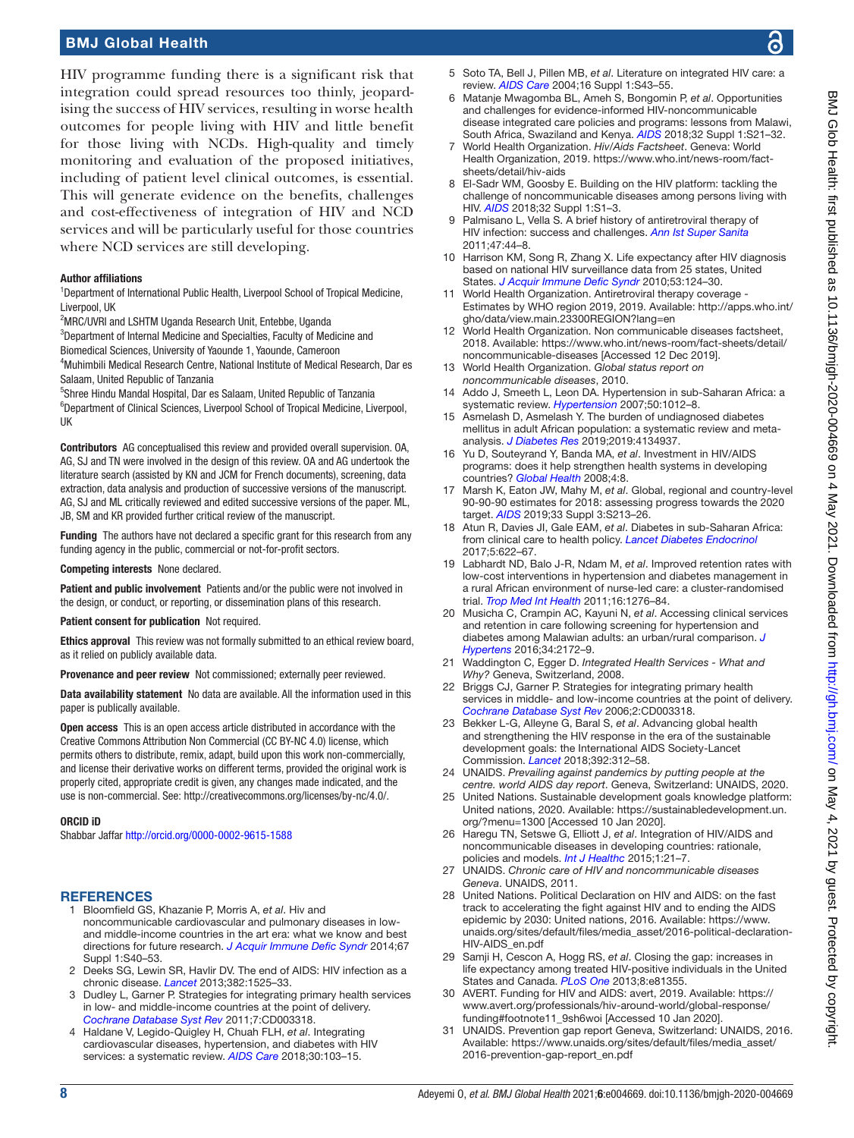### BMJ Global Health

HIV programme funding there is a significant risk that integration could spread resources too thinly, jeopardising the success of HIV services, resulting in worse health outcomes for people living with HIV and little benefit for those living with NCDs. High-quality and timely monitoring and evaluation of the proposed initiatives, including of patient level clinical outcomes, is essential. This will generate evidence on the benefits, challenges and cost-effectiveness of integration of HIV and NCD services and will be particularly useful for those countries where NCD services are still developing.

### Author affiliations

<sup>1</sup>Department of International Public Health, Liverpool School of Tropical Medicine, Liverpool, UK

<sup>2</sup>MRC/UVRI and LSHTM Uganda Research Unit, Entebbe, Uganda

<sup>3</sup>Department of Internal Medicine and Specialties, Faculty of Medicine and

Biomedical Sciences, University of Yaounde 1, Yaounde, Cameroon

4 Muhimbili Medical Research Centre, National Institute of Medical Research, Dar es Salaam, United Republic of Tanzania

5 Shree Hindu Mandal Hospital, Dar es Salaam, United Republic of Tanzania <sup>6</sup>Department of Clinical Sciences, Liverpool School of Tropical Medicine, Liverpool, UK

Contributors AG conceptualised this review and provided overall supervision. OA, AG, SJ and TN were involved in the design of this review. OA and AG undertook the literature search (assisted by KN and JCM for French documents), screening, data extraction, data analysis and production of successive versions of the manuscript. AG, SJ and ML critically reviewed and edited successive versions of the paper. ML, JB, SM and KR provided further critical review of the manuscript.

Funding The authors have not declared a specific grant for this research from any funding agency in the public, commercial or not-for-profit sectors.

Competing interests None declared.

Patient and public involvement Patients and/or the public were not involved in the design, or conduct, or reporting, or dissemination plans of this research.

Patient consent for publication Not required.

Ethics approval This review was not formally submitted to an ethical review board, as it relied on publicly available data.

Provenance and peer review Not commissioned; externally peer reviewed.

Data availability statement No data are available. All the information used in this paper is publically available.

Open access This is an open access article distributed in accordance with the Creative Commons Attribution Non Commercial (CC BY-NC 4.0) license, which permits others to distribute, remix, adapt, build upon this work non-commercially, and license their derivative works on different terms, provided the original work is properly cited, appropriate credit is given, any changes made indicated, and the use is non-commercial. See: [http://creativecommons.org/licenses/by-nc/4.0/.](http://creativecommons.org/licenses/by-nc/4.0/)

### ORCID iD

Shabbar Jaffar <http://orcid.org/0000-0002-9615-1588>

### **REFERENCES**

- <span id="page-7-0"></span>1 Bloomfield GS, Khazanie P, Morris A, *et al*. Hiv and noncommunicable cardiovascular and pulmonary diseases in lowand middle-income countries in the art era: what we know and best directions for future research. *[J Acquir Immune Defic Syndr](http://dx.doi.org/10.1097/QAI.0000000000000257)* 2014;67 Suppl 1:S40–53.
- <span id="page-7-4"></span>2 Deeks SG, Lewin SR, Havlir DV. The end of AIDS: HIV infection as a chronic disease. *[Lancet](http://dx.doi.org/10.1016/S0140-6736(13)61809-7)* 2013;382:1525–33.
- <span id="page-7-1"></span>3 Dudley L, Garner P. Strategies for integrating primary health services in low- and middle-income countries at the point of delivery. *[Cochrane Database Syst Rev](http://dx.doi.org/10.1002/14651858.CD003318.pub3)* 2011;7:CD003318.
- <span id="page-7-2"></span>4 Haldane V, Legido-Quigley H, Chuah FLH, *et al*. Integrating cardiovascular diseases, hypertension, and diabetes with HIV services: a systematic review. *[AIDS Care](http://dx.doi.org/10.1080/09540121.2017.1344350)* 2018;30:103–15.
- 5 Soto TA, Bell J, Pillen MB, *et al*. Literature on integrated HIV care: a review. *[AIDS Care](http://dx.doi.org/10.1080/09540120412331315295)* 2004;16 Suppl 1:S43–55.
- <span id="page-7-18"></span>6 Matanje Mwagomba BL, Ameh S, Bongomin P, *et al*. Opportunities and challenges for evidence-informed HIV-noncommunicable disease integrated care policies and programs: lessons from Malawi, South Africa, Swaziland and Kenya. *[AIDS](http://dx.doi.org/10.1097/QAD.0000000000001885)* 2018;32 Suppl 1:S21–32.
- <span id="page-7-3"></span>7 World Health Organization. *Hiv/Aids Factsheet*. Geneva: World Health Organization, 2019. [https://www.who.int/news-room/fact](https://www.who.int/news-room/fact-sheets/detail/hiv-aids)[sheets/detail/hiv-aids](https://www.who.int/news-room/fact-sheets/detail/hiv-aids)
- <span id="page-7-17"></span>8 El-Sadr WM, Goosby E. Building on the HIV platform: tackling the challenge of noncommunicable diseases among persons living with HIV. *[AIDS](http://dx.doi.org/10.1097/QAD.0000000000001886)* 2018;32 Suppl 1:S1–3.
- Palmisano L, Vella S. A brief history of antiretroviral therapy of HIV infection: success and challenges. *[Ann Ist Super Sanita](http://dx.doi.org/10.4415/ANN_11_01_10)* 2011;47:44–8.
- 10 Harrison KM, Song R, Zhang X. Life expectancy after HIV diagnosis based on national HIV surveillance data from 25 states, United States. *[J Acquir Immune Defic Syndr](http://dx.doi.org/10.1097/QAI.0b013e3181b563e7)* 2010;53:124–30.
- <span id="page-7-5"></span>11 World Health Organization. Antiretroviral therapy coverage - Estimates by WHO region 2019, 2019. Available: [http://apps.who.int/](http://apps.who.int/gho/data/view.main.23300REGION?lang=en) [gho/data/view.main.23300REGION?lang=en](http://apps.who.int/gho/data/view.main.23300REGION?lang=en)
- <span id="page-7-6"></span>12 World Health Organization. Non communicable diseases factsheet, 2018. Available: [https://www.who.int/news-room/fact-sheets/detail/](https://www.who.int/news-room/fact-sheets/detail/noncommunicable-diseases) [noncommunicable-diseases](https://www.who.int/news-room/fact-sheets/detail/noncommunicable-diseases) [Accessed 12 Dec 2019].
- 13 World Health Organization. *Global status report on noncommunicable diseases*, 2010.
- <span id="page-7-7"></span>14 Addo J, Smeeth L, Leon DA. Hypertension in sub-Saharan Africa: a systematic review. *[Hypertension](http://dx.doi.org/10.1161/HYPERTENSIONAHA.107.093336)* 2007;50:1012–8.
- 15 Asmelash D, Asmelash Y. The burden of undiagnosed diabetes mellitus in adult African population: a systematic review and metaanalysis. *[J Diabetes Res](http://dx.doi.org/10.1155/2019/4134937)* 2019;2019:4134937.
- <span id="page-7-8"></span>16 Yu D, Souteyrand Y, Banda MA, *et al*. Investment in HIV/AIDS programs: does it help strengthen health systems in developing countries? *[Global Health](http://dx.doi.org/10.1186/1744-8603-4-8)* 2008;4:8.
- <span id="page-7-9"></span>17 Marsh K, Eaton JW, Mahy M, *et al*. Global, regional and country-level 90-90-90 estimates for 2018: assessing progress towards the 2020 target. *[AIDS](http://dx.doi.org/10.1097/QAD.0000000000002355)* 2019;33 Suppl 3:S213–26.
- <span id="page-7-10"></span>18 Atun R, Davies JI, Gale EAM, *et al*. Diabetes in sub-Saharan Africa: from clinical care to health policy. *[Lancet Diabetes Endocrinol](http://dx.doi.org/10.1016/S2213-8587(17)30181-X)* 2017;5:622–67.
- <span id="page-7-11"></span>19 Labhardt ND, Balo J-R, Ndam M, *et al*. Improved retention rates with low-cost interventions in hypertension and diabetes management in a rural African environment of nurse-led care: a cluster-randomised trial. *[Trop Med Int Health](http://dx.doi.org/10.1111/j.1365-3156.2011.02827.x)* 2011;16:1276–84.
- 20 Musicha C, Crampin AC, Kayuni N, *et al*. Accessing clinical services and retention in care following screening for hypertension and diabetes among Malawian adults: an urban/rural comparison. *[J](http://dx.doi.org/10.1097/HJH.0000000000001070)  [Hypertens](http://dx.doi.org/10.1097/HJH.0000000000001070)* 2016;34:2172–9.
- <span id="page-7-12"></span>21 Waddington C, Egger D. *Integrated Health Services - What and Why?* Geneva, Switzerland, 2008.
- 22 Briggs CJ, Garner P. Strategies for integrating primary health services in middle- and low-income countries at the point of delivery. *[Cochrane Database Syst Rev](http://dx.doi.org/10.1002/14651858.CD003318.pub2)* 2006;2:CD003318.
- <span id="page-7-13"></span>23 Bekker L-G, Alleyne G, Baral S, *et al*. Advancing global health and strengthening the HIV response in the era of the sustainable development goals: the International AIDS Society-Lancet Commission. *[Lancet](http://dx.doi.org/10.1016/S0140-6736(18)31070-5)* 2018;392:312–58.
- <span id="page-7-14"></span>24 UNAIDS. *Prevailing against pandemics by putting people at the centre. world AIDS day report*. Geneva, Switzerland: UNAIDS, 2020.
- 25 United Nations. Sustainable development goals knowledge platform: United nations, 2020. Available: [https://sustainabledevelopment.un.](https://sustainabledevelopment.un.org/?menu=1300) [org/?menu=1300](https://sustainabledevelopment.un.org/?menu=1300) [Accessed 10 Jan 2020].
- 26 Haregu TN, Setswe G, Elliott J, *et al*. Integration of HIV/AIDS and noncommunicable diseases in developing countries: rationale, policies and models. *[Int J Healthc](http://dx.doi.org/10.5430/ijh.v1n1p21)* 2015;1:21–7.
- <span id="page-7-15"></span>27 UNAIDS. *Chronic care of HIV and noncommunicable diseases Geneva*. UNAIDS, 2011.
- 28 United Nations. Political Declaration on HIV and AIDS: on the fast track to accelerating the fight against HIV and to ending the AIDS epidemic by 2030: United nations, 2016. Available: [https://www.](https://www.unaids.org/sites/default/files/media_asset/2016-political-declaration-HIV-AIDS_en.pdf) [unaids.org/sites/default/files/media\\_asset/2016-political-declaration-](https://www.unaids.org/sites/default/files/media_asset/2016-political-declaration-HIV-AIDS_en.pdf)[HIV-AIDS\\_en.pdf](https://www.unaids.org/sites/default/files/media_asset/2016-political-declaration-HIV-AIDS_en.pdf)
- 29 Samji H, Cescon A, Hogg RS, *et al*. Closing the gap: increases in life expectancy among treated HIV-positive individuals in the United States and Canada. *[PLoS One](http://dx.doi.org/10.1371/journal.pone.0081355)* 2013;8:e81355.
- <span id="page-7-16"></span>30 AVERT. Funding for HIV and AIDS: avert, 2019. Available: [https://](https://www.avert.org/professionals/hiv-around-world/global-response/funding#footnote11_9sh6woi) [www.avert.org/professionals/hiv-around-world/global-response/](https://www.avert.org/professionals/hiv-around-world/global-response/funding#footnote11_9sh6woi) [funding#footnote11\\_9sh6woi](https://www.avert.org/professionals/hiv-around-world/global-response/funding#footnote11_9sh6woi) [Accessed 10 Jan 2020].
- 31 UNAIDS. Prevention gap report Geneva, Switzerland: UNAIDS, 2016. Available: [https://www.unaids.org/sites/default/files/media\\_asset/](https://www.unaids.org/sites/default/files/media_asset/2016-prevention-gap-report_en.pdf) [2016-prevention-gap-report\\_en.pdf](https://www.unaids.org/sites/default/files/media_asset/2016-prevention-gap-report_en.pdf)